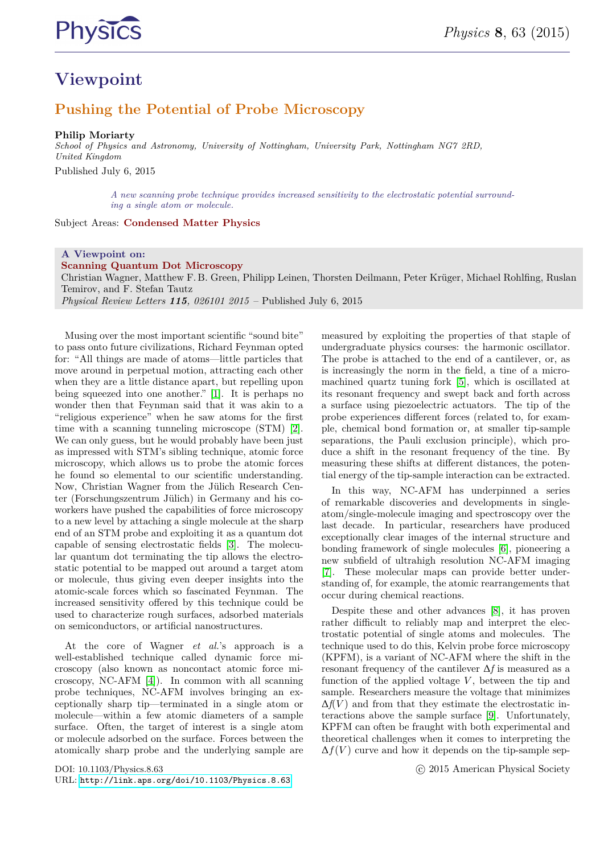

# **Viewpoint**

### **Pushing the Potential of Probe Microscopy**

**Philip Moriarty**

*School of Physics and Astronomy, University of Nottingham, University Park, Nottingham NG7 2RD, United Kingdom* Published July 6, 2015

> *A new scanning probe technique provides increased sensitivity to the electrostatic potential surrounding a single atom or molecule.*

Subject Areas: **Condensed Matter Physics**

**A Viewpoint on:**

**Scanning Quantum Dot Microscopy**

Christian Wagner, Matthew F. B. Green, Philipp Leinen, Thorsten Deilmann, Peter Krüger, Michael Rohlfing, Ruslan Temirov, and F. Stefan Tautz

*Physical Review Letters 115, 026101 2015* – Published July 6, 2015

Musing over the most important scientific "sound bite" to pass onto future civilizations, Richard Feynman opted for: "All things are made of atoms—little particles that move around in perpetual motion, attracting each other when they are a little distance apart, but repelling upon being squeezed into one another." [\[1\]](#page-1-0). It is perhaps no wonder then that Feynman said that it was akin to a "religious experience" when he saw atoms for the first time with a scanning tunneling microscope (STM) [\[2\]](#page-1-1). We can only guess, but he would probably have been just as impressed with STM's sibling technique, atomic force microscopy, which allows us to probe the atomic forces he found so elemental to our scientific understanding. Now, Christian Wagner from the Jülich Research Center (Forschungszentrum Jülich) in Germany and his coworkers have pushed the capabilities of force microscopy to a new level by attaching a single molecule at the sharp end of an STM probe and exploiting it as a quantum dot capable of sensing electrostatic fields [\[3\]](#page-1-2). The molecular quantum dot terminating the tip allows the electrostatic potential to be mapped out around a target atom or molecule, thus giving even deeper insights into the atomic-scale forces which so fascinated Feynman. The increased sensitivity offered by this technique could be used to characterize rough surfaces, adsorbed materials on semiconductors, or artificial nanostructures.

At the core of Wagner *et al.*'s approach is a well-established technique called dynamic force microscopy (also known as noncontact atomic force microscopy, NC-AFM [\[4\]](#page-1-3)). In common with all scanning probe techniques, NC-AFM involves bringing an exceptionally sharp tip—terminated in a single atom or molecule—within a few atomic diameters of a sample surface. Often, the target of interest is a single atom or molecule adsorbed on the surface. Forces between the atomically sharp probe and the underlying sample are measured by exploiting the properties of that staple of undergraduate physics courses: the harmonic oscillator. The probe is attached to the end of a cantilever, or, as is increasingly the norm in the field, a tine of a micromachined quartz tuning fork [\[5\]](#page-1-4), which is oscillated at its resonant frequency and swept back and forth across a surface using piezoelectric actuators. The tip of the probe experiences different forces (related to, for example, chemical bond formation or, at smaller tip-sample separations, the Pauli exclusion principle), which produce a shift in the resonant frequency of the tine. By measuring these shifts at different distances, the potential energy of the tip-sample interaction can be extracted.

In this way, NC-AFM has underpinned a series of remarkable discoveries and developments in singleatom/single-molecule imaging and spectroscopy over the last decade. In particular, researchers have produced exceptionally clear images of the internal structure and bonding framework of single molecules [\[6\]](#page-1-5), pioneering a new subfield of ultrahigh resolution NC-AFM imaging [\[7\]](#page-1-6). These molecular maps can provide better understanding of, for example, the atomic rearrangements that occur during chemical reactions.

Despite these and other advances [\[8\]](#page-1-7), it has proven rather difficult to reliably map and interpret the electrostatic potential of single atoms and molecules. The technique used to do this, Kelvin probe force microscopy (KPFM), is a variant of NC-AFM where the shift in the resonant frequency of the cantilever ∆*f* is measured as a function of the applied voltage  $V$ , between the tip and sample. Researchers measure the voltage that minimizes  $\Delta f(V)$  and from that they estimate the electrostatic interactions above the sample surface [\[9\]](#page-2-0). Unfortunately, KPFM can often be fraught with both experimental and theoretical challenges when it comes to interpreting the  $\Delta f(V)$  curve and how it depends on the tip-sample sep-

DOI: 10.1103/Physics.8.63 URL: <http://link.aps.org/doi/10.1103/Physics.8.63> c 2015 American Physical Society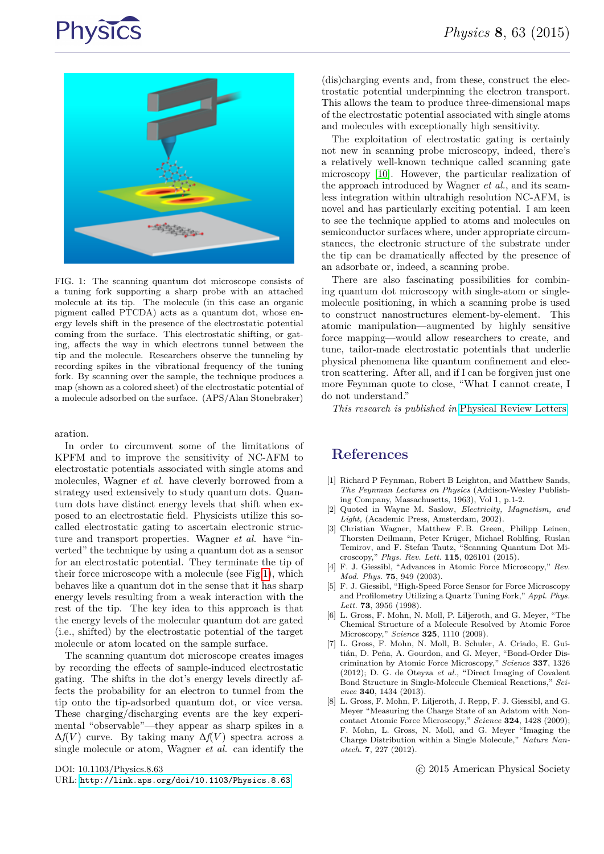# **Physics**



<span id="page-1-8"></span>FIG. 1: The scanning quantum dot microscope consists of a tuning fork supporting a sharp probe with an attached molecule at its tip. The molecule (in this case an organic pigment called PTCDA) acts as a quantum dot, whose energy levels shift in the presence of the electrostatic potential coming from the surface. This electrostatic shifting, or gating, affects the way in which electrons tunnel between the tip and the molecule. Researchers observe the tunneling by recording spikes in the vibrational frequency of the tuning fork. By scanning over the sample, the technique produces a map (shown as a colored sheet) of the electrostatic potential of a molecule adsorbed on the surface. (APS/Alan Stonebraker)

aration.

In order to circumvent some of the limitations of KPFM and to improve the sensitivity of NC-AFM to electrostatic potentials associated with single atoms and molecules, Wagner *et al.* have cleverly borrowed from a strategy used extensively to study quantum dots. Quantum dots have distinct energy levels that shift when exposed to an electrostatic field. Physicists utilize this socalled electrostatic gating to ascertain electronic structure and transport properties. Wagner *et al.* have "inverted" the technique by using a quantum dot as a sensor for an electrostatic potential. They terminate the tip of their force microscope with a molecule (see Fig[.1\)](#page-1-8), which behaves like a quantum dot in the sense that it has sharp energy levels resulting from a weak interaction with the rest of the tip. The key idea to this approach is that the energy levels of the molecular quantum dot are gated (i.e., shifted) by the electrostatic potential of the target molecule or atom located on the sample surface.

The scanning quantum dot microscope creates images by recording the effects of sample-induced electrostatic gating. The shifts in the dot's energy levels directly affects the probability for an electron to tunnel from the tip onto the tip-adsorbed quantum dot, or vice versa. These charging/discharging events are the key experimental "observable"—they appear as sharp spikes in a  $\Delta f(V)$  curve. By taking many  $\Delta f(V)$  spectra across a single molecule or atom, Wagner *et al.* can identify the

DOI: 10.1103/Physics.8.63

(dis)charging events and, from these, construct the electrostatic potential underpinning the electron transport. This allows the team to produce three-dimensional maps of the electrostatic potential associated with single atoms and molecules with exceptionally high sensitivity.

The exploitation of electrostatic gating is certainly not new in scanning probe microscopy, indeed, there's a relatively well-known technique called scanning gate microscopy [\[10\]](#page-2-1). However, the particular realization of the approach introduced by Wagner *et al.*, and its seamless integration within ultrahigh resolution NC-AFM, is novel and has particularly exciting potential. I am keen to see the technique applied to atoms and molecules on semiconductor surfaces where, under appropriate circumstances, the electronic structure of the substrate under the tip can be dramatically affected by the presence of an adsorbate or, indeed, a scanning probe.

There are also fascinating possibilities for combining quantum dot microscopy with single-atom or singlemolecule positioning, in which a scanning probe is used to construct nanostructures element-by-element. This atomic manipulation—augmented by highly sensitive force mapping—would allow researchers to create, and tune, tailor-made electrostatic potentials that underlie physical phenomena like quantum confinement and electron scattering. After all, and if I can be forgiven just one more Feynman quote to close, "What I cannot create, I do not understand."

*This research is published in* [Physical Review Letters.](http://journals.aps.org/prl)

#### **References**

- <span id="page-1-0"></span>[1] Richard P Feynman, Robert B Leighton, and Matthew Sands, *The Feynman Lectures on Physics* (Addison-Wesley Publishing Company, Massachusetts, 1963), Vol 1, p.1-2.
- <span id="page-1-1"></span>[2] Quoted in Wayne M. Saslow, *Electricity, Magnetism, and Light,* (Academic Press, Amsterdam, 2002).
- <span id="page-1-2"></span>[3] Christian Wagner, Matthew F. B. Green, Philipp Leinen, Thorsten Deilmann, Peter Krüger, Michael Rohlfing, Ruslan Temirov, and F. Stefan Tautz, "Scanning Quantum Dot Microscopy," *Phys. Rev. Lett.* **115**, 026101 (2015).
- <span id="page-1-3"></span>[4] F. J. Giessibl, "Advances in Atomic Force Microscopy," *Rev. Mod. Phys.* **75**, 949 (2003).
- <span id="page-1-4"></span>[5] F. J. Giessibl, "High-Speed Force Sensor for Force Microscopy and Profilometry Utilizing a Quartz Tuning Fork," *Appl. Phys. Lett.* **73**, 3956 (1998).
- <span id="page-1-5"></span>[6] L. Gross, F. Mohn, N. Moll, P. Liljeroth, and G. Meyer, "The Chemical Structure of a Molecule Resolved by Atomic Force Microscopy," *Science* **325**, 1110 (2009).
- <span id="page-1-6"></span>[7] L. Gross, F. Mohn, N. Moll, B. Schuler, A. Criado, E. Guitián, D. Peña, A. Gourdon, and G. Meyer, "Bond-Order Discrimination by Atomic Force Microscopy," *Science* **337**, 1326 (2012); D. G. de Oteyza *et al.*, "Direct Imaging of Covalent Bond Structure in Single-Molecule Chemical Reactions," *Science* **340**, 1434 (2013).
- <span id="page-1-7"></span>[8] L. Gross, F. Mohn, P. Liljeroth, J. Repp, F. J. Giessibl, and G. Meyer "Measuring the Charge State of an Adatom with Noncontact Atomic Force Microscopy," *Science* **324**, 1428 (2009); F. Mohn, L. Gross, N. Moll, and G. Meyer "Imaging the Charge Distribution within a Single Molecule," *Nature Nanotech.* **7**, 227 (2012).

c 2015 American Physical Society

URL: <http://link.aps.org/doi/10.1103/Physics.8.63>